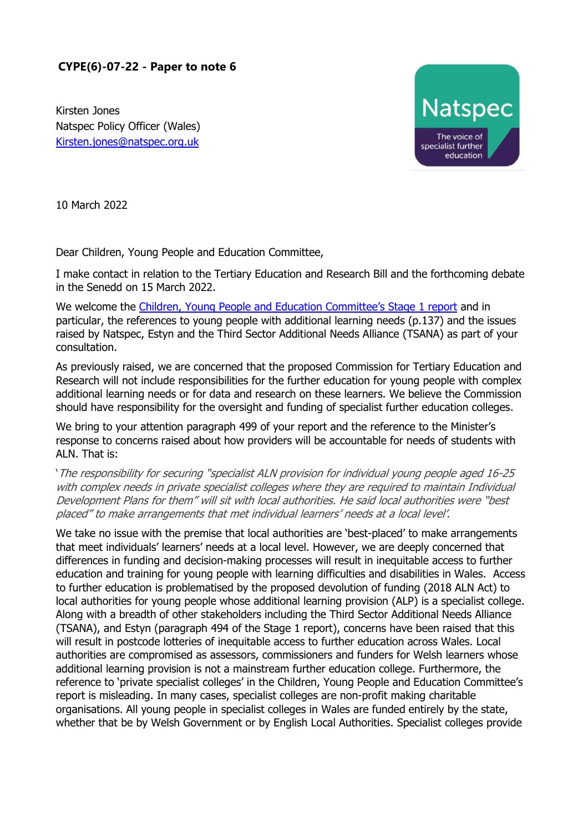## **CYPE(6)-07-22 - Paper to note 6**

Kirsten Jones Natspec Policy Officer (Wales) [Kirsten.jones@natspec.org.uk](mailto:Kirsten.jones@natspec.org.uk)



10 March 2022

Dear Children, Young People and Education Committee,

I make contact in relation to the Tertiary Education and Research Bill and the forthcoming debate in the Senedd on 15 March 2022.

We welcome the [Children, Young People and Education Committee's Stage 1 report](https://senedd.wales/media/aiypcy15/cr-ld14996-e.pdf) and in particular, the references to young people with additional learning needs (p.137) and the issues raised by Natspec, Estyn and the Third Sector Additional Needs Alliance (TSANA) as part of your consultation.

As previously raised, we are concerned that the proposed Commission for Tertiary Education and Research will not include responsibilities for the further education for young people with complex additional learning needs or for data and research on these learners. We believe the Commission should have responsibility for the oversight and funding of specialist further education colleges.

We bring to your attention paragraph 499 of your report and the reference to the Minister's response to concerns raised about how providers will be accountable for needs of students with ALN. That is:

'The responsibility for securing "specialist ALN provision for individual young people aged 16-25 with complex needs in private specialist colleges where they are required to maintain Individual Development Plans for them" will sit with local authorities. He said local authorities were "best placed" to make arrangements that met individual learners' needs at a local level'.

We take no issue with the premise that local authorities are 'best-placed' to make arrangements that meet individuals' learners' needs at a local level. However, we are deeply concerned that differences in funding and decision-making processes will result in inequitable access to further education and training for young people with learning difficulties and disabilities in Wales. Access to further education is problematised by the proposed devolution of funding (2018 ALN Act) to local authorities for young people whose additional learning provision (ALP) is a specialist college. Along with a breadth of other stakeholders including the Third Sector Additional Needs Alliance (TSANA), and Estyn (paragraph 494 of the Stage 1 report), concerns have been raised that this will result in postcode lotteries of inequitable access to further education across Wales. Local authorities are compromised as assessors, commissioners and funders for Welsh learners whose additional learning provision is not a mainstream further education college. Furthermore, the reference to 'private specialist colleges' in the Children, Young People and Education Committee's report is misleading. In many cases, specialist colleges are non-profit making charitable organisations. All young people in specialist colleges in Wales are funded entirely by the state, whether that be by Welsh Government or by English Local Authorities. Specialist colleges provide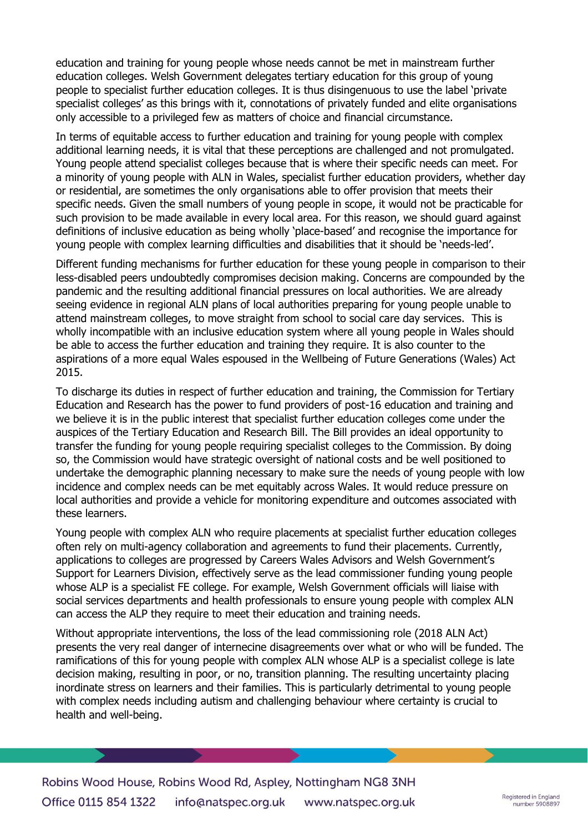education and training for young people whose needs cannot be met in mainstream further education colleges. Welsh Government delegates tertiary education for this group of young people to specialist further education colleges. It is thus disingenuous to use the label 'private specialist colleges' as this brings with it, connotations of privately funded and elite organisations only accessible to a privileged few as matters of choice and financial circumstance.

In terms of equitable access to further education and training for young people with complex additional learning needs, it is vital that these perceptions are challenged and not promulgated. Young people attend specialist colleges because that is where their specific needs can meet. For a minority of young people with ALN in Wales, specialist further education providers, whether day or residential, are sometimes the only organisations able to offer provision that meets their specific needs. Given the small numbers of young people in scope, it would not be practicable for such provision to be made available in every local area. For this reason, we should guard against definitions of inclusive education as being wholly 'place-based' and recognise the importance for young people with complex learning difficulties and disabilities that it should be 'needs-led'.

Different funding mechanisms for further education for these young people in comparison to their less-disabled peers undoubtedly compromises decision making. Concerns are compounded by the pandemic and the resulting additional financial pressures on local authorities. We are already seeing evidence in regional ALN plans of local authorities preparing for young people unable to attend mainstream colleges, to move straight from school to social care day services. This is wholly incompatible with an inclusive education system where all young people in Wales should be able to access the further education and training they require. It is also counter to the aspirations of a more equal Wales espoused in the Wellbeing of Future Generations (Wales) Act 2015.

To discharge its duties in respect of further education and training, the Commission for Tertiary Education and Research has the power to fund providers of post-16 education and training and we believe it is in the public interest that specialist further education colleges come under the auspices of the Tertiary Education and Research Bill. The Bill provides an ideal opportunity to transfer the funding for young people requiring specialist colleges to the Commission. By doing so, the Commission would have strategic oversight of national costs and be well positioned to undertake the demographic planning necessary to make sure the needs of young people with low incidence and complex needs can be met equitably across Wales. It would reduce pressure on local authorities and provide a vehicle for monitoring expenditure and outcomes associated with these learners.

Young people with complex ALN who require placements at specialist further education colleges often rely on multi-agency collaboration and agreements to fund their placements. Currently, applications to colleges are progressed by Careers Wales Advisors and Welsh Government's Support for Learners Division, effectively serve as the lead commissioner funding young people whose ALP is a specialist FE college. For example, Welsh Government officials will liaise with social services departments and health professionals to ensure young people with complex ALN can access the ALP they require to meet their education and training needs.

Without appropriate interventions, the loss of the lead commissioning role (2018 ALN Act) presents the very real danger of internecine disagreements over what or who will be funded. The ramifications of this for young people with complex ALN whose ALP is a specialist college is late decision making, resulting in poor, or no, transition planning. The resulting uncertainty placing inordinate stress on learners and their families. This is particularly detrimental to young people with complex needs including autism and challenging behaviour where certainty is crucial to health and well-being.

Robins Wood House, Robins Wood Rd, Aspley, Nottingham NG8 3NH Office 0115 854 1322 info@natspec.org.uk www.natspec.org.uk